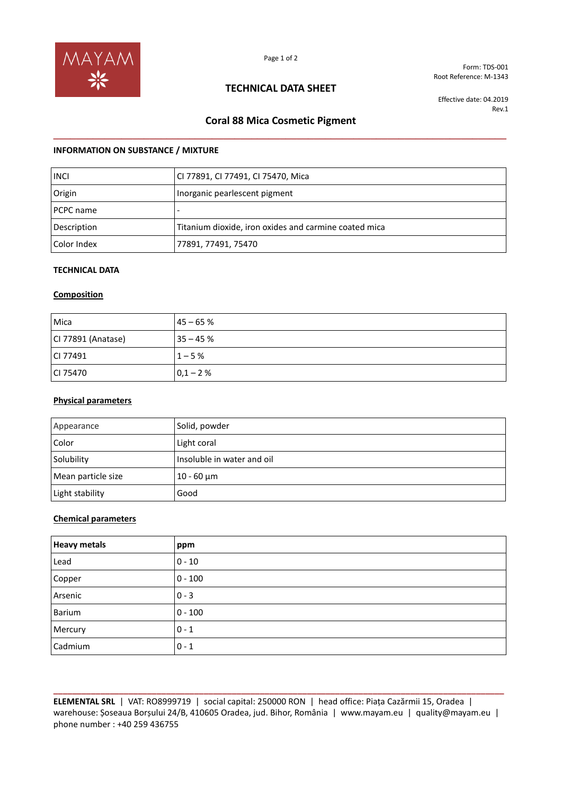

Form: TDS-001 Root Reference: M-1343

## **TECHNICAL DATA SHEET**

Effective date: 04.2019 Rev.1

# **Coral 88 Mica Cosmetic Pigment \_\_\_\_\_\_\_\_\_\_\_\_\_\_\_\_\_\_\_\_\_\_\_\_\_\_\_\_\_\_\_\_\_\_\_\_\_\_\_\_\_\_\_\_\_\_\_\_\_\_\_\_\_\_\_\_\_\_\_\_\_\_\_\_\_\_\_\_\_\_\_\_\_\_\_\_\_\_\_\_**

### **INFORMATION ON SUBSTANCE / MIXTURE**

| <b>INCI</b> | CI 77891, CI 77491, CI 75470, Mica                    |
|-------------|-------------------------------------------------------|
| Origin      | Inorganic pearlescent pigment                         |
| PCPC name   |                                                       |
| Description | Titanium dioxide, iron oxides and carmine coated mica |
| Color Index | 77891, 77491, 75470                                   |

### **TECHNICAL DATA**

#### **Composition**

| Mica               | $145 - 65%$ |
|--------------------|-------------|
| CI 77891 (Anatase) | $35 - 45%$  |
| CI 77491           | $1 - 5%$    |
| CI 75470           | $0,1 - 2%$  |

#### **Physical parameters**

| Appearance         | Solid, powder              |
|--------------------|----------------------------|
| Color              | Light coral                |
| Solubility         | Insoluble in water and oil |
| Mean particle size | $10 - 60$ μm               |
| Light stability    | Good                       |

#### **Chemical parameters**

| <b>Heavy metals</b> | ppm       |
|---------------------|-----------|
| Lead                | $0 - 10$  |
| Copper              | $0 - 100$ |
| Arsenic             | $0 - 3$   |
| Barium              | $0 - 100$ |
| Mercury             | $0 - 1$   |
| Cadmium             | $0 - 1$   |

**\_\_\_\_\_\_\_\_\_\_\_\_\_\_\_\_\_\_\_\_\_\_\_\_\_\_\_\_\_\_\_\_\_\_\_\_\_\_\_\_\_\_\_\_\_\_\_\_\_\_\_\_\_\_\_\_\_\_\_\_\_\_\_\_\_\_\_\_\_\_\_\_\_\_\_\_\_\_\_\_\_\_\_\_\_\_\_\_\_\_\_\_\_\_\_\_ ELEMENTAL SRL** | VAT: RO8999719 | social capital: 250000 RON | head office: Piața Cazărmii 15, Oradea | warehouse: Șoseaua Borșului 24/B, 410605 Oradea, jud. Bihor, România | www.mayam.eu | quality@mayam.eu | phone number : +40 259 436755